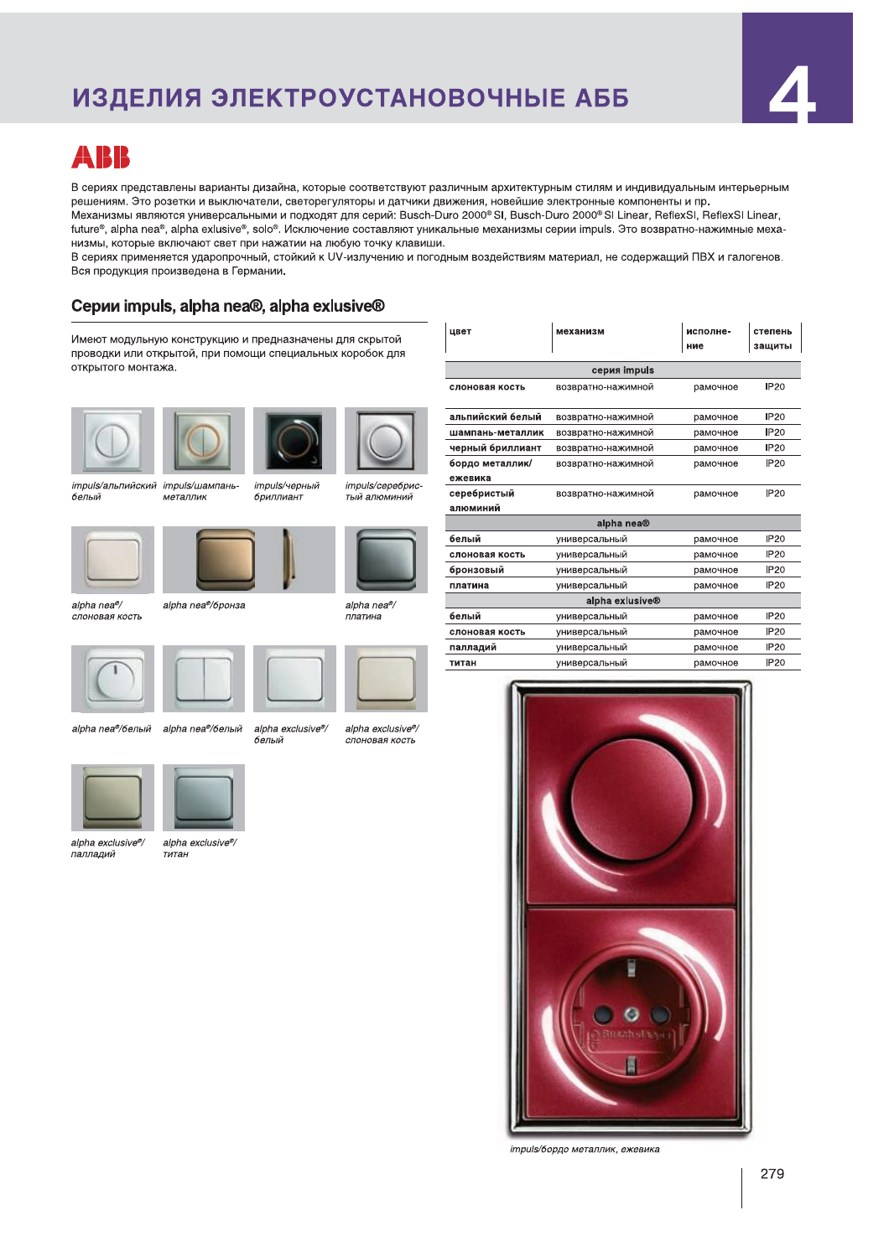ИЗДЕЛИЯ ЭЛЕКТРОУСТАНОВОЧНЫЕ АББ<br>в сериях представлены варианты дизайна, которые осответствуют различным архитектурным стилям и индивидуальным интерьерным<br>решениям. Это розени и выключатели, светоретуляторы и датчины дриж

Имеют модульную конструкцию и предназначены для скрытой развет развет реканизм разведения разведения разведени<br>Проводки или открытой, при помощи специальных коробок для разведения разведения серия impuls ние защиты открыт









impuis/чылинский impuis/шампань- impuis/ч<br>белый металлик - бриллиа impuls/черный бриллиант impuls/шампань металлик

impuls/серебристый алюминий



alpha nea®

 ¬¬®¬ ¥¦¥°§¥«  ¥¦¥°§¥« ±









alpha nea®/белый

'белый alpha nea®/белый



 ¥¦¥§¨© ª§« ¬¬®¬





impuis/оордо металлик, ежевика



alpha exclusive®<br>палладий

alpha exclusive<sup>®/</sup> ..<br>титан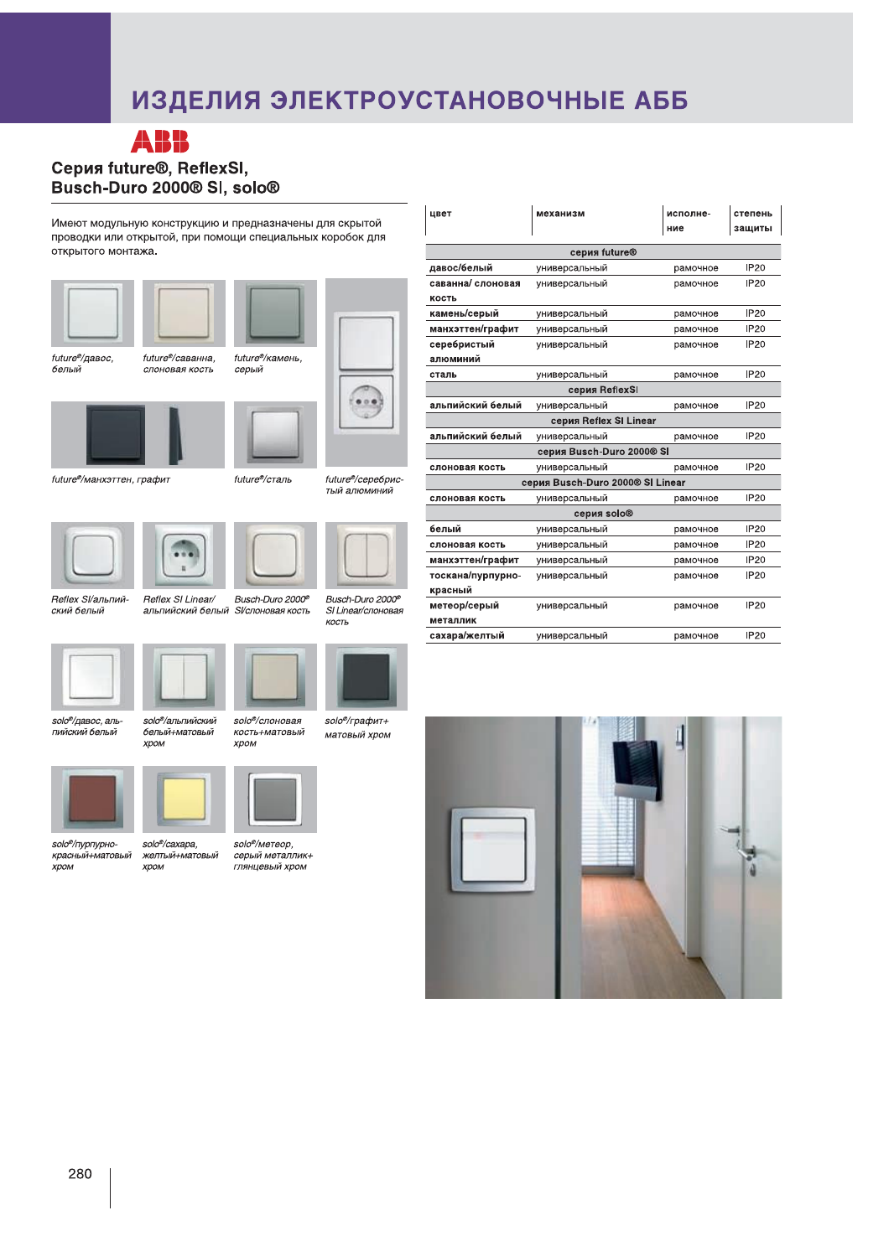# ИЗДЕЛИЯ ЭЛЕКТРОУСТАНОВОЧНЫЕ АББ





future<sup>®</sup>/манхэттен, графит





Reflex Sl/альпийский белый

solo®/пурпурно-<br>красный+матовый<br>хром



Busch-Duro 2000<sup>®</sup> альпиискии оелыи эгслоновая кость Reflex SI Linear/



Busch-Duro 2000<sup>®</sup> SI Linear/слоновая КОСТЬ

тый алюминий

solo<sup>®</sup>/альпийский белый+матовый **XDOM** solo®/давос, альпийский белый



solo®/слоновая кость+матовый



solo®/caxapa. желтый+матовый<br>хром

solo<sup>®</sup>/метеор. серый металлик+ глянцевый хром



solo<sup>®</sup>/графит+ матовый хром